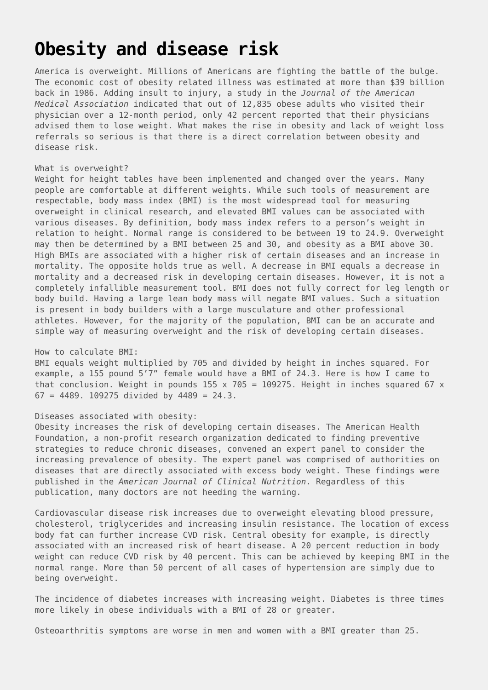# **[Obesity and disease risk](https://drhoffman.com/article/obesity-and-disease-risk-2/)**

America is overweight. Millions of Americans are fighting the battle of the bulge. The economic cost of obesity related illness was estimated at more than \$39 billion back in 1986. Adding insult to injury, a study in the *Journal of the American Medical Association* indicated that out of 12,835 obese adults who visited their physician over a 12-month period, only 42 percent reported that their physicians advised them to lose weight. What makes the rise in obesity and lack of weight loss referrals so serious is that there is a direct correlation between obesity and disease risk.

### What is overweight?

Weight for height tables have been implemented and changed over the years. Many people are comfortable at different weights. While such tools of measurement are respectable, body mass index (BMI) is the most widespread tool for measuring overweight in clinical research, and elevated BMI values can be associated with various diseases. By definition, body mass index refers to a person's weight in relation to height. Normal range is considered to be between 19 to 24.9. Overweight may then be determined by a BMI between 25 and 30, and obesity as a BMI above 30. High BMIs are associated with a higher risk of certain diseases and an increase in mortality. The opposite holds true as well. A decrease in BMI equals a decrease in mortality and a decreased risk in developing certain diseases. However, it is not a completely infallible measurement tool. BMI does not fully correct for leg length or body build. Having a large lean body mass will negate BMI values. Such a situation is present in body builders with a large musculature and other professional athletes. However, for the majority of the population, BMI can be an accurate and simple way of measuring overweight and the risk of developing certain diseases.

#### How to calculate BMI:

BMI equals weight multiplied by 705 and divided by height in inches squared. For example, a 155 pound 5'7" female would have a BMI of 24.3. Here is how I came to that conclusion. Weight in pounds 155  $\times$  705 = 109275. Height in inches squared 67  $\times$  $67 = 4489.$  109275 divided by 4489 = 24.3.

## Diseases associated with obesity:

Obesity increases the risk of developing certain diseases. The American Health Foundation, a non-profit research organization dedicated to finding preventive strategies to reduce chronic diseases, convened an expert panel to consider the increasing prevalence of obesity. The expert panel was comprised of authorities on diseases that are directly associated with excess body weight. These findings were published in the *American Journal of Clinical Nutrition*. Regardless of this publication, many doctors are not heeding the warning.

Cardiovascular disease risk increases due to overweight elevating blood pressure, cholesterol, triglycerides and increasing insulin resistance. The location of excess body fat can further increase CVD risk. Central obesity for example, is directly associated with an increased risk of heart disease. A 20 percent reduction in body weight can reduce CVD risk by 40 percent. This can be achieved by keeping BMI in the normal range. More than 50 percent of all cases of hypertension are simply due to being overweight.

The incidence of diabetes increases with increasing weight. Diabetes is three times more likely in obese individuals with a BMI of 28 or greater.

Osteoarthritis symptoms are worse in men and women with a BMI greater than 25.